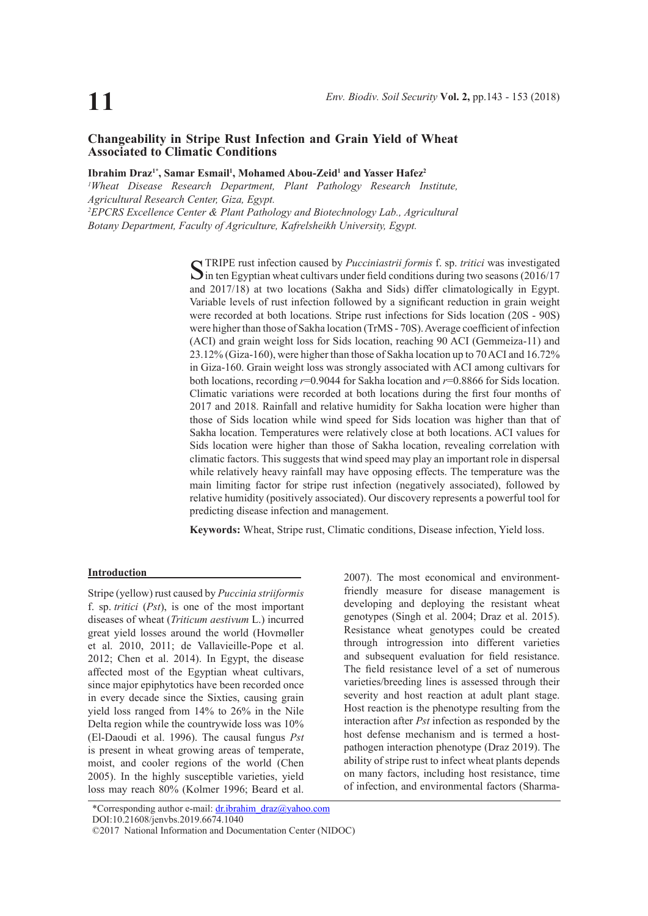# **Changeability in Stripe Rust Infection and Grain Yield of Wheat Associated to Climatic Conditions**

# Ibrahim Draz<sup>1\*</sup>, Samar Esmail<sup>1</sup>, Mohamed Abou-Zeid<sup>1</sup> and Yasser Hafez<sup>2</sup>

*1 Wheat Disease Research Department, Plant Pathology Research Institute, Agricultural Research Center, Giza, Egypt. 2 EPCRS Excellence Center & Plant Pathology and Biotechnology Lab., Agricultural Botany Department, Faculty of Agriculture, Kafrelsheikh University, Egypt.* 

> STRIPE rust infection caused by *Pucciniastrii formis* f. sp. *tritici* was investigated in ten Egyptian wheat cultivars under field conditions during two seasons (2016/17) and 2017/18) at two locations (Sakha and Sids) differ climatologically in Egypt. Variable levels of rust infection followed by a significant reduction in grain weight were recorded at both locations. Stripe rust infections for Sids location (20S - 90S) were higher than those of Sakha location (TrMS - 70S). Average coefficient of infection (ACI) and grain weight loss for Sids location, reaching 90 ACI (Gemmeiza-11) and 23.12% (Giza-160), were higher than those of Sakha location up to 70 ACI and 16.72% in Giza-160. Grain weight loss was strongly associated with ACI among cultivars for both locations, recording *r*=0.9044 for Sakha location and *r*=0.8866 for Sids location. Climatic variations were recorded at both locations during the first four months of 2017 and 2018. Rainfall and relative humidity for Sakha location were higher than those of Sids location while wind speed for Sids location was higher than that of Sakha location. Temperatures were relatively close at both locations. ACI values for Sids location were higher than those of Sakha location, revealing correlation with climatic factors. This suggests that wind speed may play an important role in dispersal while relatively heavy rainfall may have opposing effects. The temperature was the main limiting factor for stripe rust infection (negatively associated), followed by relative humidity (positively associated). Our discovery represents a powerful tool for predicting disease infection and management.

**Keywords:** Wheat, Stripe rust, Climatic conditions, Disease infection, Yield loss.

## **Introduction**

Stripe (yellow) rust caused by *Puccinia striiformis*  f. sp. *tritici* (*Pst*), is one of the most important diseases of wheat (*Triticum aestivum* L.) incurred great yield losses around the world (Hovmøller et al. 2010, 2011; de Vallavieille-Pope et al. 2012; Chen et al. 2014). In Egypt, the disease affected most of the Egyptian wheat cultivars, since major epiphytotics have been recorded once in every decade since the Sixties, causing grain yield loss ranged from 14% to 26% in the Nile Delta region while the countrywide loss was 10% (El-Daoudi et al. 1996). The causal fungus *Pst*  is present in wheat growing areas of temperate, moist, and cooler regions of the world (Chen 2005). In the highly susceptible varieties, yield loss may reach 80% (Kolmer 1996; Beard et al.

2007). The most economical and environmentfriendly measure for disease management is developing and deploying the resistant wheat genotypes (Singh et al. 2004; Draz et al. 2015). Resistance wheat genotypes could be created through introgression into different varieties and subsequent evaluation for field resistance. The field resistance level of a set of numerous varieties/breeding lines is assessed through their severity and host reaction at adult plant stage. Host reaction is the phenotype resulting from the interaction after *Pst* infection as responded by the host defense mechanism and is termed a hostpathogen interaction phenotype (Draz 2019). The ability of stripe rust to infect wheat plants depends on many factors, including host resistance, time of infection, and environmental factors (Sharma-

\*Corresponding author e-mail: dr.ibrahim\_draz@yahoo.com DOI:10.21608/jenvbs.2019.6674.1040

<sup>©2017</sup> National Information and Documentation Center (NIDOC)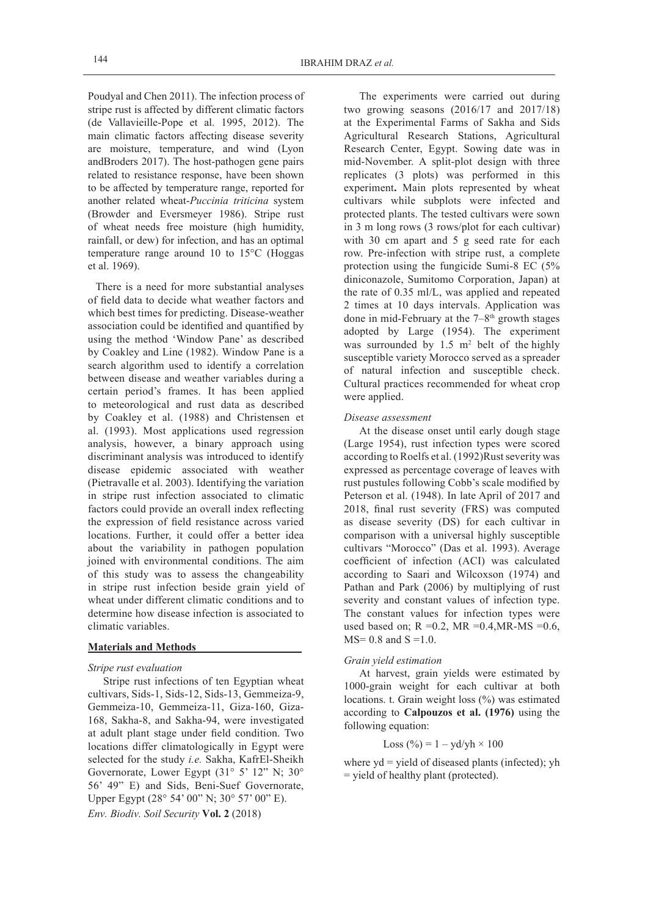Poudyal and Chen 2011). The infection process of stripe rust is affected by different climatic factors (de Vallavieille-Pope et al. 1995, 2012). The main climatic factors affecting disease severity are moisture, temperature, and wind (Lyon andBroders 2017). The host-pathogen gene pairs related to resistance response, have been shown to be affected by temperature range, reported for another related wheat-*Puccinia triticina* system (Browder and Eversmeyer 1986). Stripe rust of wheat needs free moisture (high humidity, rainfall, or dew) for infection, and has an optimal temperature range around 10 to 15°C (Hoggas et al. 1969).

There is a need for more substantial analyses of field data to decide what weather factors and which best times for predicting. Disease-weather association could be identified and quantified by using the method 'Window Pane' as described by Coakley and Line (1982). Window Pane is a search algorithm used to identify a correlation between disease and weather variables during a certain period's frames. It has been applied to meteorological and rust data as described by Coakley et al. (1988) and Christensen et al. (1993). Most applications used regression analysis, however, a binary approach using discriminant analysis was introduced to identify disease epidemic associated with weather (Pietravalle et al. 2003). Identifying the variation in stripe rust infection associated to climatic factors could provide an overall index reflecting the expression of field resistance across varied locations. Further, it could offer a better idea about the variability in pathogen population joined with environmental conditions. The aim of this study was to assess the changeability in stripe rust infection beside grain yield of wheat under different climatic conditions and to determine how disease infection is associated to climatic variables.

# **Materials and Methods**

## *Stripe rust evaluation*

*Env. Biodiv. Soil Security* **Vol. 2** (2018) Stripe rust infections of ten Egyptian wheat cultivars, Sids-1, Sids-12, Sids-13, Gemmeiza-9, Gemmeiza-10, Gemmeiza-11, Giza-160, Giza-168, Sakha-8, and Sakha-94, were investigated at adult plant stage under field condition. Two locations differ climatologically in Egypt were selected for the study *i.e.* Sakha, KafrEl-Sheikh Governorate, Lower Egypt (31° 5' 12" N; 30° 56' 49" E) and Sids, Beni-Suef Governorate, Upper Egypt (28° 54' 00" N; 30° 57' 00" E).

The experiments were carried out during two growing seasons (2016/17 and 2017/18) at the Experimental Farms of Sakha and Sids Agricultural Research Stations, Agricultural Research Center, Egypt. Sowing date was in mid-November. A split-plot design with three replicates (3 plots) was performed in this experiment**.** Main plots represented by wheat cultivars while subplots were infected and protected plants. The tested cultivars were sown in 3 m long rows (3 rows/plot for each cultivar) with 30 cm apart and 5 g seed rate for each row. Pre-infection with stripe rust, a complete protection using the fungicide Sumi-8 EC (5% diniconazole, Sumitomo Corporation, Japan) at the rate of 0.35 ml/L, was applied and repeated 2 times at 10 days intervals. Application was done in mid-February at the  $7-8$ <sup>th</sup> growth stages adopted by Large (1954). The experiment was surrounded by  $1.5 \text{ m}^2$  belt of the highly susceptible variety Morocco served as a spreader of natural infection and susceptible check. Cultural practices recommended for wheat crop were applied.

#### *Disease assessment*

At the disease onset until early dough stage (Large 1954), rust infection types were scored according to Roelfs et al. (1992)Rust severity was expressed as percentage coverage of leaves with rust pustules following Cobb's scale modified by Peterson et al. (1948). In late April of 2017 and 2018, final rust severity (FRS) was computed as disease severity (DS) for each cultivar in comparison with a universal highly susceptible cultivars "Morocco" (Das et al. 1993). Average coefficient of infection (ACI) was calculated according to Saari and Wilcoxson (1974) and Pathan and Park (2006) by multiplying of rust severity and constant values of infection type. The constant values for infection types were used based on;  $R = 0.2$ ,  $MR = 0.4$ ,  $MR$ - $MS = 0.6$ ,  $MS = 0.8$  and  $S = 1.0$ .

## *Grain yield estimation*

At harvest, grain yields were estimated by 1000-grain weight for each cultivar at both locations. t. Grain weight loss (%) was estimated according to **Calpouzos et al. (1976)** using the following equation:

# Loss (%) =  $1 - yd/yh \times 100$

where  $yd = yield of diseased plants (infected); yh$ = yield of healthy plant (protected).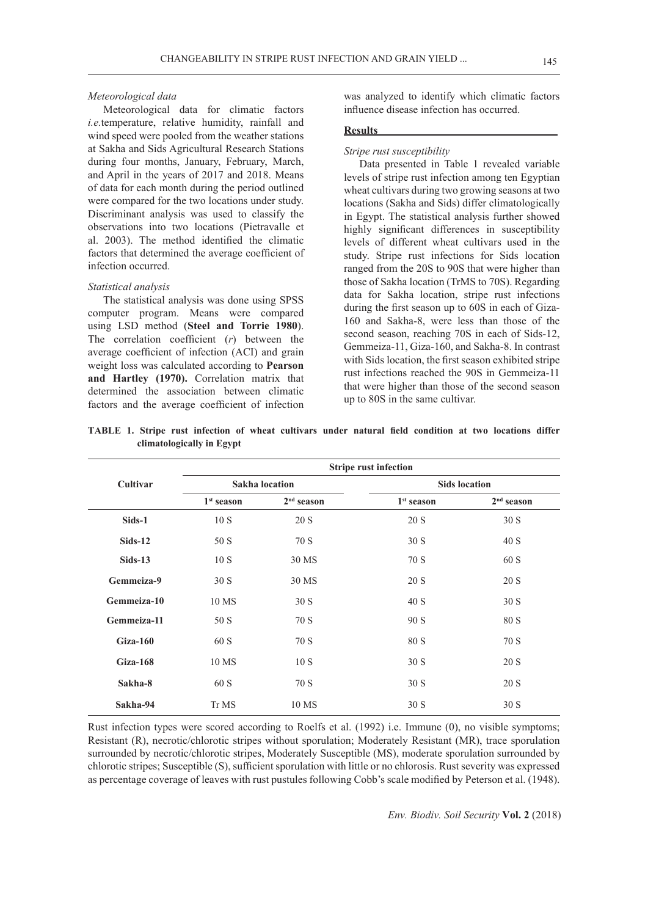#### *Meteorological data*

Meteorological data for climatic factors *i.e.*temperature, relative humidity, rainfall and wind speed were pooled from the weather stations at Sakha and Sids Agricultural Research Stations during four months, January, February, March, and April in the years of 2017 and 2018. Means of data for each month during the period outlined were compared for the two locations under study. Discriminant analysis was used to classify the observations into two locations (Pietravalle et al. 2003). The method identified the climatic factors that determined the average coefficient of infection occurred.

#### *Statistical analysis*

The statistical analysis was done using SPSS computer program. Means were compared using LSD method (**Steel and Torrie 1980**). The correlation coefficient (*r*) between the average coefficient of infection (ACI) and grain weight loss was calculated according to **Pearson and Hartley (1970).** Correlation matrix that determined the association between climatic factors and the average coefficient of infection

was analyzed to identify which climatic factors influence disease infection has occurred.

#### **Results**

*Stripe rust susceptibility*

Data presented in Table 1 revealed variable levels of stripe rust infection among ten Egyptian wheat cultivars during two growing seasons at two locations (Sakha and Sids) differ climatologically in Egypt. The statistical analysis further showed highly significant differences in susceptibility levels of different wheat cultivars used in the study. Stripe rust infections for Sids location ranged from the 20S to 90S that were higher than those of Sakha location (TrMS to 70S). Regarding data for Sakha location, stripe rust infections during the first season up to 60S in each of Giza-160 and Sakha-8, were less than those of the second season, reaching 70S in each of Sids-12, Gemmeiza-11, Giza-160, and Sakha-8. In contrast with Sids location, the first season exhibited stripe rust infections reached the 90S in Gemmeiza-11 that were higher than those of the second season up to 80S in the same cultivar.

|             | <b>Stripe rust infection</b> |                       |                      |              |  |  |  |
|-------------|------------------------------|-----------------------|----------------------|--------------|--|--|--|
| Cultivar    |                              | <b>Sakha</b> location | <b>Sids location</b> |              |  |  |  |
|             | $1st$ season                 | $2nd$ season          |                      | $2nd$ season |  |  |  |
| Sids-1      | 10S                          | 20 S                  | 20 S                 | 30S          |  |  |  |
| $Sids-12$   | 50 S                         | 70 S                  | 30S                  | 40 S         |  |  |  |
| $Sids-13$   | 10S                          | 30 MS                 | 70 S                 | 60 S         |  |  |  |
| Gemmeiza-9  | 30S                          | 30 MS                 | 20 S                 | 20 S         |  |  |  |
| Gemmeiza-10 | 10 MS                        | 30 S                  | 40 S                 | 30 S         |  |  |  |
| Gemmeiza-11 | 50 S                         | 70 S                  | 90 S                 | 80 S         |  |  |  |
| $Giza-160$  | 60 S                         | 70 S                  | 80 S                 | 70 S         |  |  |  |
| $Giza-168$  | 10 MS                        | 10S                   | 30 S                 | 20 S         |  |  |  |
| Sakha-8     | 60 S                         | 70 S                  | 30S                  | 20 S         |  |  |  |
| Sakha-94    | Tr MS                        | 10 MS                 | 30S                  | 30S          |  |  |  |

**TABLE 1. Stripe rust infection of wheat cultivars under natural field condition at two locations differ climatologically in Egypt**

Rust infection types were scored according to Roelfs et al. (1992) i.e. Immune (0), no visible symptoms; Resistant (R), necrotic/chlorotic stripes without sporulation; Moderately Resistant (MR), trace sporulation surrounded by necrotic/chlorotic stripes, Moderately Susceptible (MS), moderate sporulation surrounded by chlorotic stripes; Susceptible (S), sufficient sporulation with little or no chlorosis. Rust severity was expressed as percentage coverage of leaves with rust pustules following Cobb's scale modified by Peterson et al. (1948).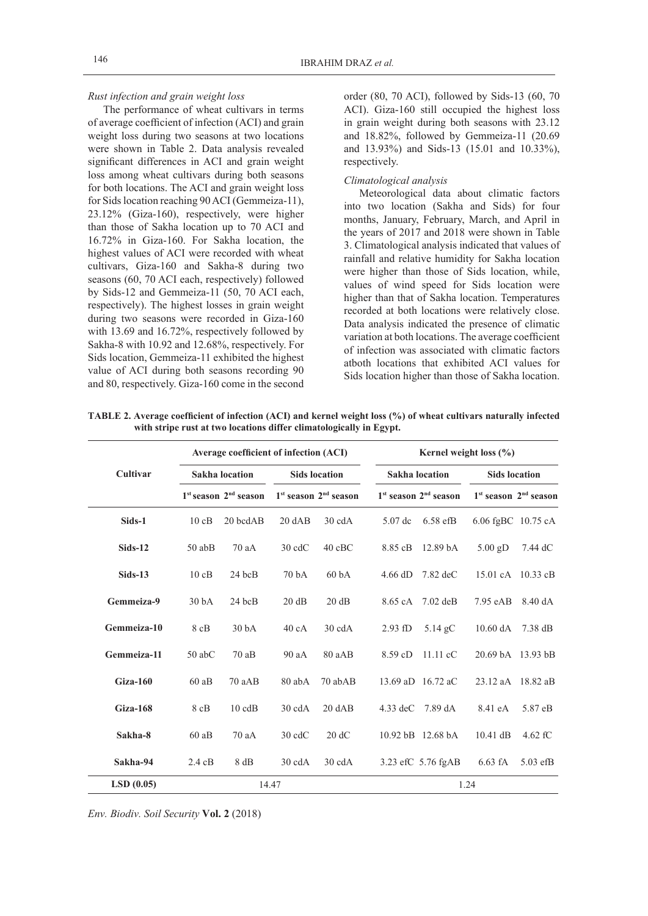### *Rust infection and grain weight loss*

The performance of wheat cultivars in terms of average coefficient of infection (ACI) and grain weight loss during two seasons at two locations were shown in Table 2. Data analysis revealed significant differences in ACI and grain weight loss among wheat cultivars during both seasons for both locations. The ACI and grain weight loss for Sids location reaching 90 ACI (Gemmeiza-11), 23.12% (Giza-160), respectively, were higher than those of Sakha location up to 70 ACI and 16.72% in Giza-160. For Sakha location, the highest values of ACI were recorded with wheat cultivars, Giza-160 and Sakha-8 during two seasons (60, 70 ACI each, respectively) followed by Sids-12 and Gemmeiza-11 (50, 70 ACI each, respectively). The highest losses in grain weight during two seasons were recorded in Giza-160 with 13.69 and 16.72%, respectively followed by Sakha-8 with 10.92 and 12.68%, respectively. For Sids location, Gemmeiza-11 exhibited the highest value of ACI during both seasons recording 90 and 80, respectively. Giza-160 come in the second order (80, 70 ACI), followed by Sids-13 (60, 70 ACI). Giza-160 still occupied the highest loss in grain weight during both seasons with 23.12 and 18.82%, followed by Gemmeiza-11 (20.69 and 13.93%) and Sids-13 (15.01 and 10.33%), respectively.

## *Climatological analysis*

Meteorological data about climatic factors into two location (Sakha and Sids) for four months, January, February, March, and April in the years of 2017 and 2018 were shown in Table 3. Climatological analysis indicated that values of rainfall and relative humidity for Sakha location were higher than those of Sids location, while, values of wind speed for Sids location were higher than that of Sakha location. Temperatures recorded at both locations were relatively close. Data analysis indicated the presence of climatic variation at both locations. The average coefficient of infection was associated with climatic factors atboth locations that exhibited ACI values for Sids location higher than those of Sakha location.

|             | Average coefficient of infection (ACI) |                           |                   | Kernel weight loss $(\% )$      |            |                           |                      |                           |  |
|-------------|----------------------------------------|---------------------------|-------------------|---------------------------------|------------|---------------------------|----------------------|---------------------------|--|
| Cultivar    | <b>Sakha</b> location                  |                           |                   | <b>Sids location</b>            |            | Sakha location            |                      | <b>Sids location</b>      |  |
|             |                                        | $1st$ season $2nd$ season |                   | $1st$ season $2nd$ season       |            | $1st$ season $2nd$ season |                      | $1st$ season $2nd$ season |  |
| Sids-1      | 10cB                                   | $20$ bcd $AB$             | $20 \text{ } dAB$ | $30 \text{ cdA}$                | 5.07 dc    | $6.58$ efB                | 6.06 fgBC $10.75$ cA |                           |  |
| $Sids-12$   | $50$ ab $B$                            | 70aA                      | $30 \text{ edC}$  | $40$ cBC                        | 8.85 cB    | 12.89 <sub>bA</sub>       | $5.00$ gD            | 7.44 dC                   |  |
| $Sids-13$   | 10cB                                   | $24$ bcB                  | 70 <sub>bA</sub>  | 60 <sub>bA</sub>                | $4.66$ dD  | $7.82 \text{ dec}$        |                      | 15.01 cA 10.33 cB         |  |
| Gemmeiza-9  | 30 <sub>bA</sub>                       | $24$ bcB                  | 20 dB             | 20 dB                           | 8.65 cA    | $7.02$ deB                | $7.95$ eAB           | 8.40 dA                   |  |
| Gemmeiza-10 | 8 cB                                   | 30 <sub>bA</sub>          | 40cA              | $30 \text{ cdA}$                | 2.93 fD    | $5.14$ gC                 | $10.60$ dA           | 7.38 dB                   |  |
| Gemmeiza-11 | $50$ abC                               | 70aB                      | 90aA              | 80 aAB                          | 8.59cD     | $11.11 \text{ }cC$        |                      | 20.69 bA 13.93 bB         |  |
| $Giza-160$  | 60aB                                   | 70 aAB                    | 80 abA            | 70 abAB                         |            | 13.69 aD 16.72 aC         |                      | 23.12 aA 18.82 aB         |  |
| Giza-168    | $8$ cB                                 | $10 \text{ cdB}$          | $30 \text{ cdA}$  | $20 \text{ } \text{A} \text{B}$ | $4.33$ deC | 7.89 dA                   | 8.41 eA              | 5.87 eB                   |  |
| Sakha-8     | 60aB                                   | 70aA                      | $30 \text{ edC}$  | 20 dC                           |            | 10.92 bB 12.68 bA         | $10.41$ dB           | $4.62$ fC                 |  |
| Sakha-94    | $2.4 \text{ cB}$                       | 8 dB                      | $30 \text{ cdA}$  | $30 \text{ cdA}$                |            | 3.23 efC 5.76 fgAB        | $6.63$ fA            | $5.03$ efB                |  |
| LSD(0.05)   |                                        | 14.47                     |                   |                                 |            |                           | 1.24                 |                           |  |

**TABLE 2. Average coefficient of infection (ACI) and kernel weight loss (%) of wheat cultivars naturally infected with stripe rust at two locations differ climatologically in Egypt.**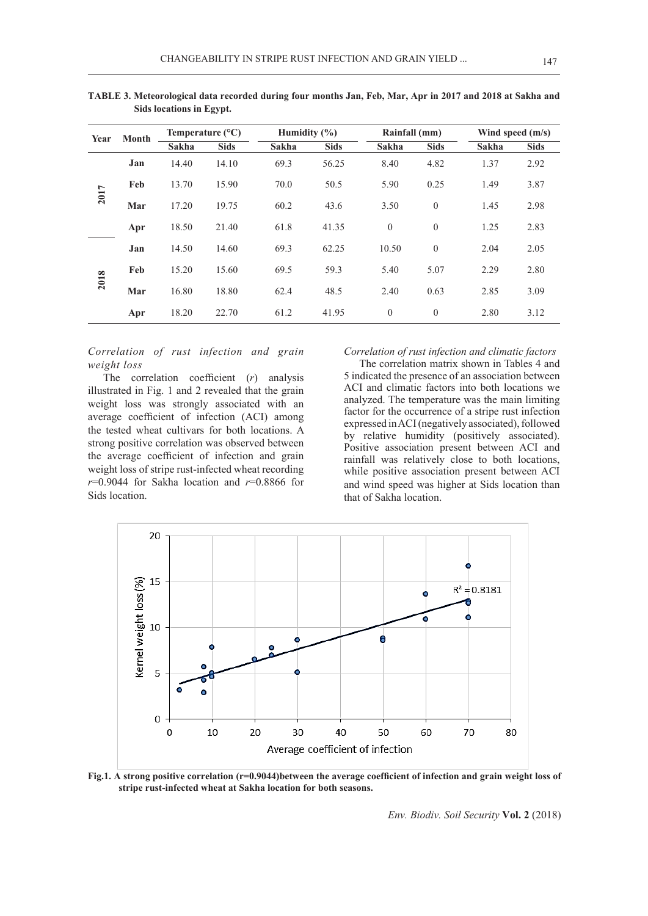| <b>Month</b><br>Year | Temperature $(^{\circ}C)$ |             |              | Humidity $(\% )$ |       | Rainfall (mm) |              | Wind speed $(m/s)$ |      |
|----------------------|---------------------------|-------------|--------------|------------------|-------|---------------|--------------|--------------------|------|
|                      | <b>Sakha</b>              | <b>Sids</b> | <b>Sakha</b> | <b>Sids</b>      | Sakha | <b>Sids</b>   | Sakha        | <b>Sids</b>        |      |
|                      | Jan                       | 14.40       | 14.10        | 69.3             | 56.25 | 8.40          | 4.82         | 1.37               | 2.92 |
|                      | Feb                       | 13.70       | 15.90        | 70.0             | 50.5  | 5.90          | 0.25         | 1.49               | 3.87 |
| 2017                 | Mar                       | 17.20       | 19.75        | 60.2             | 43.6  | 3.50          | $\mathbf{0}$ | 1.45               | 2.98 |
|                      | Apr                       | 18.50       | 21.40        | 61.8             | 41.35 | $\theta$      | $\mathbf{0}$ | 1.25               | 2.83 |
|                      | Jan                       | 14.50       | 14.60        | 69.3             | 62.25 | 10.50         | $\theta$     | 2.04               | 2.05 |
|                      | Feb                       | 15.20       | 15.60        | 69.5             | 59.3  | 5.40          | 5.07         | 2.29               | 2.80 |
| 2018                 | Mar                       | 16.80       | 18.80        | 62.4             | 48.5  | 2.40          | 0.63         | 2.85               | 3.09 |
|                      | Apr                       | 18.20       | 22.70        | 61.2             | 41.95 | $\theta$      | $\theta$     | 2.80               | 3.12 |

**TABLE 3. Meteorological data recorded during four months Jan, Feb, Mar, Apr in 2017 and 2018 at Sakha and Sids locations in Egypt.**

# *Correlation of rust infection and grain weight loss*

The correlation coefficient (*r*) analysis illustrated in Fig. 1 and 2 revealed that the grain weight loss was strongly associated with an average coefficient of infection (ACI) among the tested wheat cultivars for both locations. A strong positive correlation was observed between the average coefficient of infection and grain weight loss of stripe rust-infected wheat recording *r*=0.9044 for Sakha location and *r*=0.8866 for Sids location.

*Correlation of rust infection and climatic factors*

The correlation matrix shown in Tables 4 and 5 indicated the presence of an association between ACI and climatic factors into both locations we analyzed. The temperature was the main limiting factor for the occurrence of a stripe rust infection expressed in ACI (negatively associated), followed by relative humidity (positively associated). Positive association present between ACI and rainfall was relatively close to both locations, while positive association present between ACI and wind speed was higher at Sids location than that of Sakha location.



Fig.1. A strong positive correlation (r=0.9044)between the average coefficient of infection and grain weight loss of **stripe rust-infected wheat at Sakha location for both seasons.**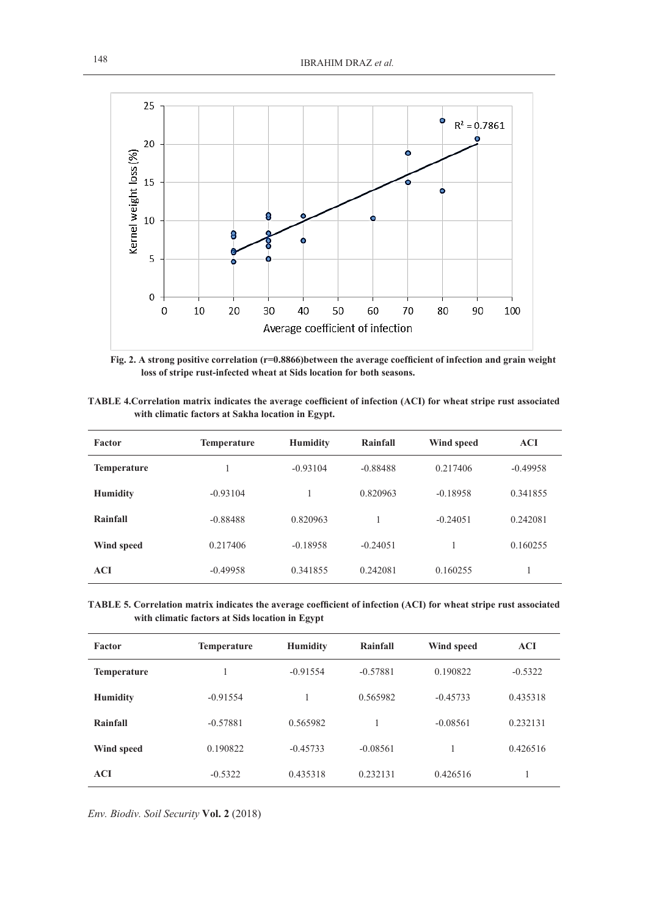

**Fig. 2. A strong positive correlation (r=0.8866)between the average coefficient of infection and grain weight loss of stripe rust-infected wheat at Sids location for both seasons.**

| TABLE 4. Correlation matrix indicates the average coefficient of infection (ACI) for wheat stripe rust associated |  |  |
|-------------------------------------------------------------------------------------------------------------------|--|--|
| with climatic factors at Sakha location in Egypt.                                                                 |  |  |

| Factor             | <b>Temperature</b> | <b>Humidity</b> | Rainfall   | Wind speed | <b>ACI</b> |
|--------------------|--------------------|-----------------|------------|------------|------------|
| <b>Temperature</b> |                    | $-0.93104$      | $-0.88488$ | 0.217406   | $-0.49958$ |
| <b>Humidity</b>    | $-0.93104$         |                 | 0.820963   | $-0.18958$ | 0.341855   |
| Rainfall           | $-0.88488$         | 0.820963        |            | $-0.24051$ | 0.242081   |
| Wind speed         | 0.217406           | $-0.18958$      | $-0.24051$ |            | 0.160255   |
| <b>ACI</b>         | $-0.49958$         | 0.341855        | 0.242081   | 0.160255   |            |

**TABLE 5. Correlation matrix indicates the average coefficient of infection (ACI) for wheat stripe rust associated with climatic factors at Sids location in Egypt**

| Factor             | <b>Temperature</b> | <b>Humidity</b> | Rainfall   | Wind speed | <b>ACI</b> |
|--------------------|--------------------|-----------------|------------|------------|------------|
| <b>Temperature</b> |                    | $-0.91554$      | $-0.57881$ | 0.190822   | $-0.5322$  |
| <b>Humidity</b>    | $-0.91554$         |                 | 0.565982   | $-0.45733$ | 0.435318   |
| Rainfall           | $-0.57881$         | 0.565982        |            | $-0.08561$ | 0.232131   |
| Wind speed         | 0.190822           | $-0.45733$      | $-0.08561$ |            | 0.426516   |
| <b>ACI</b>         | $-0.5322$          | 0.435318        | 0.232131   | 0.426516   |            |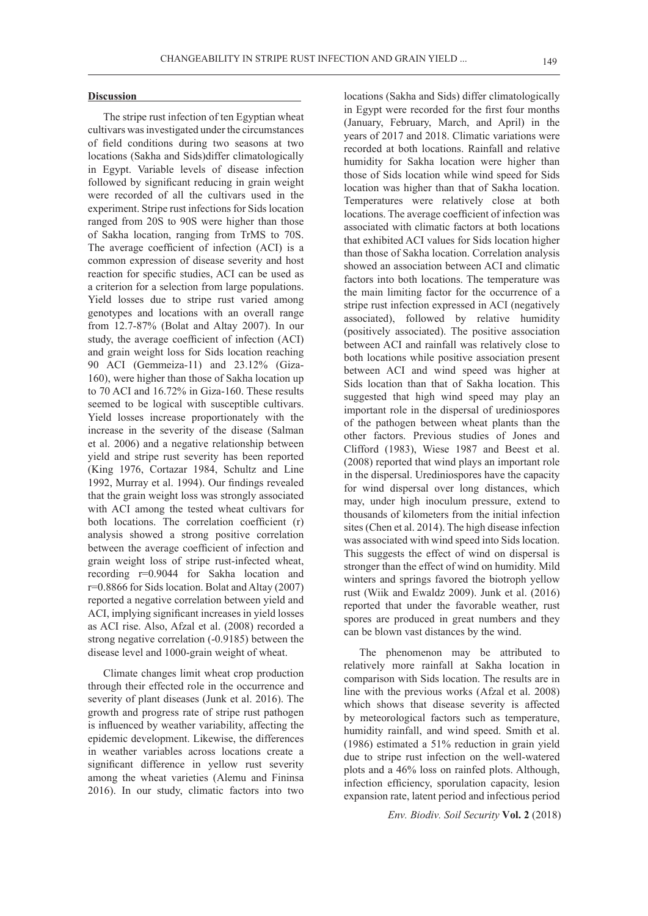### **Discussion**

The stripe rust infection of ten Egyptian wheat cultivars was investigated under the circumstances of field conditions during two seasons at two locations (Sakha and Sids)differ climatologically in Egypt. Variable levels of disease infection followed by significant reducing in grain weight were recorded of all the cultivars used in the experiment. Stripe rust infections for Sids location ranged from 20S to 90S were higher than those of Sakha location, ranging from TrMS to 70S. The average coefficient of infection (ACI) is a common expression of disease severity and host reaction for specific studies, ACI can be used as a criterion for a selection from large populations. Yield losses due to stripe rust varied among genotypes and locations with an overall range from 12.7-87% (Bolat and Altay 2007). In our study, the average coefficient of infection (ACI) and grain weight loss for Sids location reaching 90 ACI (Gemmeiza-11) and 23.12% (Giza-160), were higher than those of Sakha location up to 70 ACI and 16.72% in Giza-160. These results seemed to be logical with susceptible cultivars. Yield losses increase proportionately with the increase in the severity of the disease (Salman et al. 2006) and a negative relationship between yield and stripe rust severity has been reported (King 1976, Cortazar 1984, Schultz and Line 1992, Murray et al. 1994). Our findings revealed that the grain weight loss was strongly associated with ACI among the tested wheat cultivars for both locations. The correlation coefficient (r) analysis showed a strong positive correlation between the average coefficient of infection and grain weight loss of stripe rust-infected wheat, recording r=0.9044 for Sakha location and r=0.8866 for Sids location. Bolat and Altay (2007) reported a negative correlation between yield and ACI, implying significant increases in yield losses as ACI rise. Also, Afzal et al. (2008) recorded a strong negative correlation (-0.9185) between the disease level and 1000-grain weight of wheat.

Climate changes limit wheat crop production through their effected role in the occurrence and severity of plant diseases (Junk et al. 2016). The growth and progress rate of stripe rust pathogen is influenced by weather variability, affecting the epidemic development. Likewise, the differences in weather variables across locations create a significant difference in yellow rust severity among the wheat varieties (Alemu and Fininsa 2016). In our study, climatic factors into two

locations (Sakha and Sids) differ climatologically in Egypt were recorded for the first four months (January, February, March, and April) in the years of 2017 and 2018. Climatic variations were recorded at both locations. Rainfall and relative humidity for Sakha location were higher than those of Sids location while wind speed for Sids location was higher than that of Sakha location. Temperatures were relatively close at both locations. The average coefficient of infection was associated with climatic factors at both locations that exhibited ACI values for Sids location higher than those of Sakha location. Correlation analysis showed an association between ACI and climatic factors into both locations. The temperature was the main limiting factor for the occurrence of a stripe rust infection expressed in ACI (negatively associated), followed by relative humidity (positively associated). The positive association between ACI and rainfall was relatively close to both locations while positive association present between ACI and wind speed was higher at Sids location than that of Sakha location. This suggested that high wind speed may play an important role in the dispersal of urediniospores of the pathogen between wheat plants than the other factors. Previous studies of Jones and Clifford (1983), Wiese 1987 and Beest et al. (2008) reported that wind plays an important role in the dispersal. Urediniospores have the capacity for wind dispersal over long distances, which may, under high inoculum pressure, extend to thousands of kilometers from the initial infection sites (Chen et al. 2014). The high disease infection was associated with wind speed into Sids location. This suggests the effect of wind on dispersal is stronger than the effect of wind on humidity. Mild winters and springs favored the biotroph yellow rust (Wiik and Ewaldz 2009). Junk et al. (2016) reported that under the favorable weather, rust spores are produced in great numbers and they can be blown vast distances by the wind.

The phenomenon may be attributed to relatively more rainfall at Sakha location in comparison with Sids location. The results are in line with the previous works (Afzal et al. 2008) which shows that disease severity is affected by meteorological factors such as temperature, humidity rainfall, and wind speed. Smith et al. (1986) estimated a 51% reduction in grain yield due to stripe rust infection on the well-watered plots and a 46% loss on rainfed plots. Although, infection efficiency, sporulation capacity, lesion expansion rate, latent period and infectious period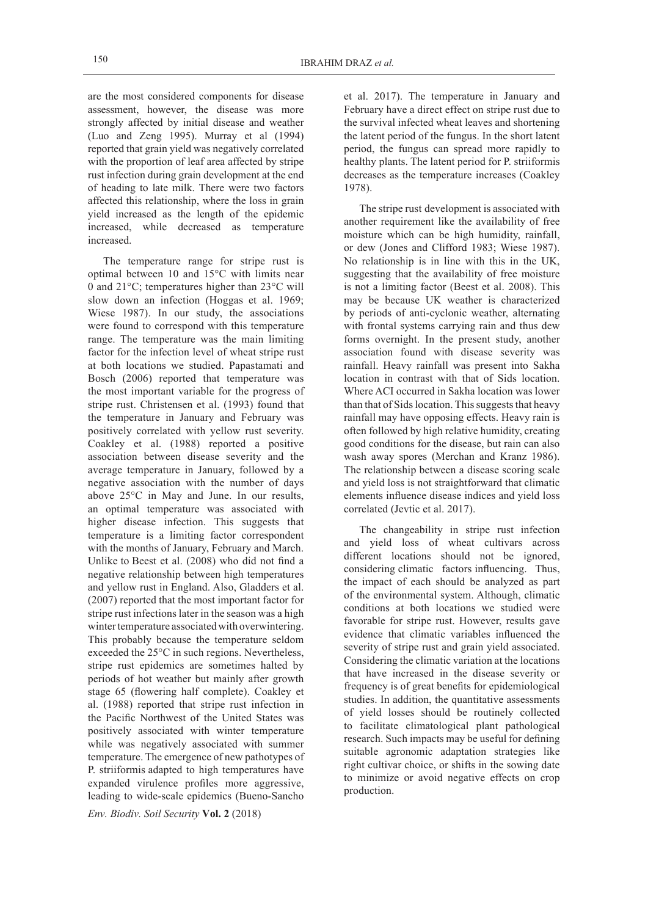are the most considered components for disease assessment, however, the disease was more strongly affected by initial disease and weather (Luo and Zeng 1995). Murray et al (1994) reported that grain yield was negatively correlated with the proportion of leaf area affected by stripe rust infection during grain development at the end of heading to late milk. There were two factors affected this relationship, where the loss in grain yield increased as the length of the epidemic increased, while decreased as temperature increased.

The temperature range for stripe rust is optimal between 10 and 15°C with limits near 0 and 21°C; temperatures higher than 23°C will slow down an infection (Hoggas et al. 1969; Wiese 1987). In our study, the associations were found to correspond with this temperature range. The temperature was the main limiting factor for the infection level of wheat stripe rust at both locations we studied. Papastamati and Bosch (2006) reported that temperature was the most important variable for the progress of stripe rust. Christensen et al. (1993) found that the temperature in January and February was positively correlated with yellow rust severity. Coakley et al. (1988) reported a positive association between disease severity and the average temperature in January, followed by a negative association with the number of days above 25°C in May and June. In our results, an optimal temperature was associated with higher disease infection. This suggests that temperature is a limiting factor correspondent with the months of January, February and March. Unlike to Beest et al. (2008) who did not find a negative relationship between high temperatures and yellow rust in England. Also, Gladders et al. (2007) reported that the most important factor for stripe rust infections later in the season was a high winter temperature associated with overwintering. This probably because the temperature seldom exceeded the 25°C in such regions. Nevertheless, stripe rust epidemics are sometimes halted by periods of hot weather but mainly after growth stage 65 (flowering half complete). Coakley et al. (1988) reported that stripe rust infection in the Pacific Northwest of the United States was positively associated with winter temperature while was negatively associated with summer temperature. The emergence of new pathotypes of P. striiformis adapted to high temperatures have expanded virulence profiles more aggressive, leading to wide-scale epidemics (Bueno-Sancho

*Env. Biodiv. Soil Security* **Vol. 2** (2018)

et al. 2017). The temperature in January and February have a direct effect on stripe rust due to the survival infected wheat leaves and shortening the latent period of the fungus. In the short latent period, the fungus can spread more rapidly to healthy plants. The latent period for P. striiformis decreases as the temperature increases (Coakley 1978).

The stripe rust development is associated with another requirement like the availability of free moisture which can be high humidity, rainfall, or dew (Jones and Clifford 1983; Wiese 1987). No relationship is in line with this in the UK, suggesting that the availability of free moisture is not a limiting factor (Beest et al. 2008). This may be because UK weather is characterized by periods of anti-cyclonic weather, alternating with frontal systems carrying rain and thus dew forms overnight. In the present study, another association found with disease severity was rainfall. Heavy rainfall was present into Sakha location in contrast with that of Sids location. Where ACI occurred in Sakha location was lower than that of Sids location. This suggests that heavy rainfall may have opposing effects. Heavy rain is often followed by high relative humidity, creating good conditions for the disease, but rain can also wash away spores (Merchan and Kranz 1986). The relationship between a disease scoring scale and yield loss is not straightforward that climatic elements influence disease indices and yield loss correlated (Jevtic et al. 2017).

The changeability in stripe rust infection and yield loss of wheat cultivars across different locations should not be ignored, considering climatic factors influencing. Thus, the impact of each should be analyzed as part of the environmental system. Although, climatic conditions at both locations we studied were favorable for stripe rust. However, results gave evidence that climatic variables influenced the severity of stripe rust and grain yield associated. Considering the climatic variation at the locations that have increased in the disease severity or frequency is of great benefits for epidemiological studies. In addition, the quantitative assessments of yield losses should be routinely collected to facilitate climatological plant pathological research. Such impacts may be useful for defining suitable agronomic adaptation strategies like right cultivar choice, or shifts in the sowing date to minimize or avoid negative effects on crop production.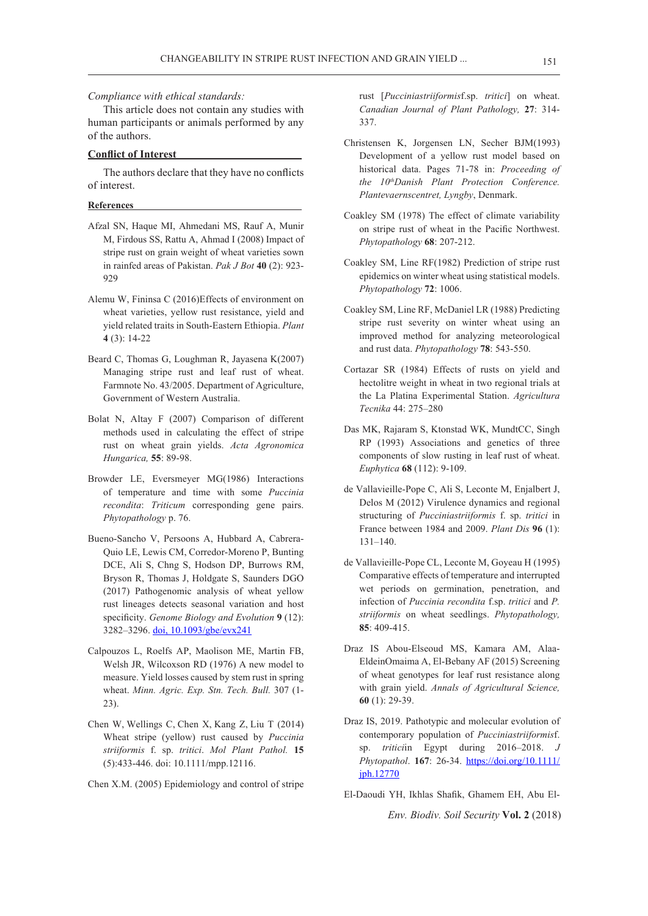#### *Compliance with ethical standards:*

This article does not contain any studies with human participants or animals performed by any of the authors.

# **Conflict of Interest**

The authors declare that they have no conflicts of interest.

#### **References**

- Afzal SN, Haque MI, Ahmedani MS, Rauf A, Munir M, Firdous SS, Rattu A, Ahmad I (2008) Impact of stripe rust on grain weight of wheat varieties sown in rainfed areas of Pakistan. *Pak J Bot* **40** (2): 923- 929
- Alemu W, Fininsa C (2016)Effects of environment on wheat varieties, yellow rust resistance, yield and yield related traits in South-Eastern Ethiopia. *Plant*  **4** (3): 14-22
- Beard C, Thomas G, Loughman R, Jayasena K(2007) Managing stripe rust and leaf rust of wheat. Farmnote No. 43/2005. Department of Agriculture, Government of Western Australia.
- Bolat N, Altay F (2007) Comparison of different methods used in calculating the effect of stripe rust on wheat grain yields. *Acta Agronomica Hungarica,* **55**: 89-98.
- Browder LE, Eversmeyer MG(1986) Interactions of temperature and time with some *Puccinia recondita*: *Triticum* corresponding gene pairs. *Phytopathology* p. 76.
- Bueno-Sancho V, Persoons A, Hubbard A, Cabrera-Quio LE, Lewis CM, Corredor-Moreno P, Bunting DCE, Ali S, Chng S, Hodson DP, Burrows RM, Bryson R, Thomas J, Holdgate S, Saunders DGO (2017) Pathogenomic analysis of wheat yellow rust lineages detects seasonal variation and host specificity. *Genome Biology and Evolution* **9** (12): 3282–3296. doi, 10.1093/gbe/evx241
- Calpouzos L, Roelfs AP, Maolison ME, Martin FB, Welsh JR, Wilcoxson RD (1976) A new model to measure. Yield losses caused by stem rust in spring wheat. *Minn. Agric. Exp. Stn. Tech. Bull.* 307 (1- 23).
- Chen W, Wellings C, Chen X, Kang Z, Liu T (2014) Wheat stripe (yellow) rust caused by *Puccinia striiformis* f. sp. *tritici*. *Mol Plant Pathol.* **15** (5):433-446. doi: 10.1111/mpp.12116.
- Chen X.M. (2005) Epidemiology and control of stripe

rust [*Pucciniastriiformis*f.sp. *tritici*] on wheat. *Canadian Journal of Plant Pathology,* **27**: 314- 337.

- Christensen K, Jorgensen LN, Secher BJM(1993) Development of a yellow rust model based on historical data. Pages 71-78 in: *Proceeding of the 10thDanish Plant Protection Conference. Plantevaernscentret, Lyngby*, Denmark.
- Coakley SM (1978) The effect of climate variability on stripe rust of wheat in the Pacific Northwest. *Phytopathology* **68**: 207-212.
- Coakley SM, Line RF(1982) Prediction of stripe rust epidemics on winter wheat using statistical models. *Phytopathology* **72**: 1006.
- Coakley SM, Line RF, McDaniel LR (1988) Predicting stripe rust severity on winter wheat using an improved method for analyzing meteorological and rust data. *Phytopathology* **78**: 543-550.
- Cortazar SR (1984) Effects of rusts on yield and hectolitre weight in wheat in two regional trials at the La Platina Experimental Station. *Agricultura Tecnika* 44: 275–280
- Das MK, Rajaram S, Ktonstad WK, MundtCC, Singh RP (1993) Associations and genetics of three components of slow rusting in leaf rust of wheat. *Euphytica* **68** (112): 9-109.
- de Vallavieille-Pope C, Ali S, Leconte M, Enjalbert J, Delos M (2012) Virulence dynamics and regional structuring of *Pucciniastriiformis* f. sp. *tritici* in France between 1984 and 2009. *Plant Dis* **96** (1): 131–140.
- de Vallavieille-Pope CL, Leconte M, Goyeau H (1995) Comparative effects of temperature and interrupted wet periods on germination, penetration, and infection of *Puccinia recondita* f.sp. *tritici* and *P. striiformis* on wheat seedlings. *Phytopathology,*  **85**: 409-415.
- Draz IS Abou-Elseoud MS, Kamara AM, Alaa-EldeinOmaima A, El-Bebany AF (2015) Screening of wheat genotypes for leaf rust resistance along with grain yield. *Annals of Agricultural Science,*  **60** (1): 29-39.
- Draz IS, 2019. Pathotypic and molecular evolution of contemporary population of *Pucciniastriiformis*f. sp. *tritici*in Egypt during 2016–2018. *J Phytopathol*. **167**: 26-34. https://doi.org/10.1111/ jph.12770
- El-Daoudi YH, Ikhlas Shafik, Ghamem EH, Abu El-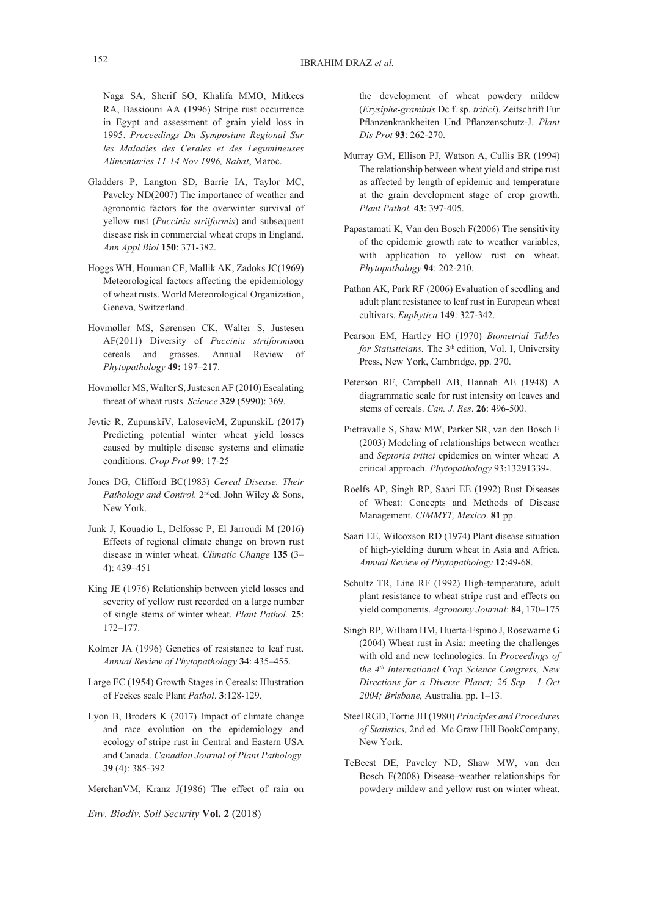Naga SA, Sherif SO, Khalifa MMO, Mitkees RA, Bassiouni AA (1996) Stripe rust occurrence in Egypt and assessment of grain yield loss in 1995. *Proceedings Du Symposium Regional Sur les Maladies des Cerales et des Legumineuses Alimentaries 11-14 Nov 1996, Rabat*, Maroc.

- Gladders P, Langton SD, Barrie IA, Taylor MC, Paveley ND(2007) The importance of weather and agronomic factors for the overwinter survival of yellow rust (*Puccinia striiformis*) and subsequent disease risk in commercial wheat crops in England. *Ann Appl Biol* **150**: 371-382.
- Hoggs WH, Houman CE, Mallik AK, Zadoks JC(1969) Meteorological factors affecting the epidemiology of wheat rusts. World Meteorological Organization, Geneva, Switzerland.
- Hovmøller MS, Sørensen CK, Walter S, Justesen AF(2011) Diversity of *Puccinia striiformis*on cereals and grasses. Annual Review of *Phytopathology* **49:** 197–217.
- Hovmøller MS, Walter S, Justesen AF (2010) Escalating threat of wheat rusts. *Science* **329** (5990): 369.
- Jevtic R, ZupunskiV, LalosevicM, ZupunskiL (2017) Predicting potential winter wheat yield losses caused by multiple disease systems and climatic conditions. *Crop Prot* **99**: 17-25
- Jones DG, Clifford BC(1983) *Cereal Disease. Their*  Pathology and Control. 2<sup>nd</sup>ed. John Wiley & Sons, New York.
- Junk J, Kouadio L, Delfosse P, El Jarroudi M (2016) Effects of regional climate change on brown rust disease in winter wheat. *Climatic Change* **135** (3– 4): 439–451
- King JE (1976) Relationship between yield losses and severity of yellow rust recorded on a large number of single stems of winter wheat. *Plant Pathol.* **25**: 172–177.
- Kolmer JA (1996) Genetics of resistance to leaf rust. *Annual Review of Phytopathology* **34**: 435–455.
- Large EC (1954) Growth Stages in Cereals: IIIustration of Feekes scale Plant *Pathol*. **3**:128-129.
- Lyon B, Broders K (2017) Impact of climate change and race evolution on the epidemiology and ecology of stripe rust in Central and Eastern USA and Canada. *Canadian Journal of Plant Pathology* **39** (4): 385-392

MerchanVM, Kranz J(1986) The effect of rain on

*Env. Biodiv. Soil Security* **Vol. 2** (2018)

the development of wheat powdery mildew (*Erysiphe-graminis* Dc f. sp. *tritici*). Zeitschrift Fur Pflanzenkrankheiten Und Pflanzenschutz-J. *Plant Dis Prot* **93**: 262-270.

- Murray GM, Ellison PJ, Watson A, Cullis BR (1994) The relationship between wheat yield and stripe rust as affected by length of epidemic and temperature at the grain development stage of crop growth. *Plant Pathol.* **43**: 397-405.
- Papastamati K, Van den Bosch F(2006) The sensitivity of the epidemic growth rate to weather variables, with application to yellow rust on wheat. *Phytopathology* **94**: 202-210.
- Pathan AK, Park RF (2006) Evaluation of seedling and adult plant resistance to leaf rust in European wheat cultivars. *Euphytica* **149**: 327-342.
- Pearson EM, Hartley HO (1970) *Biometrial Tables*  for Statisticians. The 3<sup>th</sup> edition, Vol. I, University Press, New York, Cambridge, pp. 270.
- Peterson RF, Campbell AB, Hannah AE (1948) A diagrammatic scale for rust intensity on leaves and stems of cereals. *Can. J. Res*. **26**: 496-500.
- Pietravalle S, Shaw MW, Parker SR, van den Bosch F (2003) Modeling of relationships between weather and *Septoria tritici* epidemics on winter wheat: A critical approach. *Phytopathology* 93:13291339-.
- Roelfs AP, Singh RP, Saari EE (1992) Rust Diseases of Wheat: Concepts and Methods of Disease Management. *CIMMYT, Mexico*. **81** pp.
- Saari EE, Wilcoxson RD (1974) Plant disease situation of high-yielding durum wheat in Asia and Africa. *Annual Review of Phytopathology* **12**:49-68.
- Schultz TR, Line RF (1992) High-temperature, adult plant resistance to wheat stripe rust and effects on yield components. *Agronomy Journal*: **84**, 170–175
- Singh RP, William HM, Huerta-Espino J, Rosewarne G (2004) Wheat rust in Asia: meeting the challenges with old and new technologies. In *Proceedings of the 4th International Crop Science Congress, New Directions for a Diverse Planet; 26 Sep - 1 Oct 2004; Brisbane,* Australia. pp. 1–13.
- Steel RGD, Torrie JH (1980) *Principles and Procedures of Statistics,* 2nd ed. Mc Graw Hill BookCompany, New York.
- TeBeest DE, Paveley ND, Shaw MW, van den Bosch F(2008) Disease–weather relationships for powdery mildew and yellow rust on winter wheat.